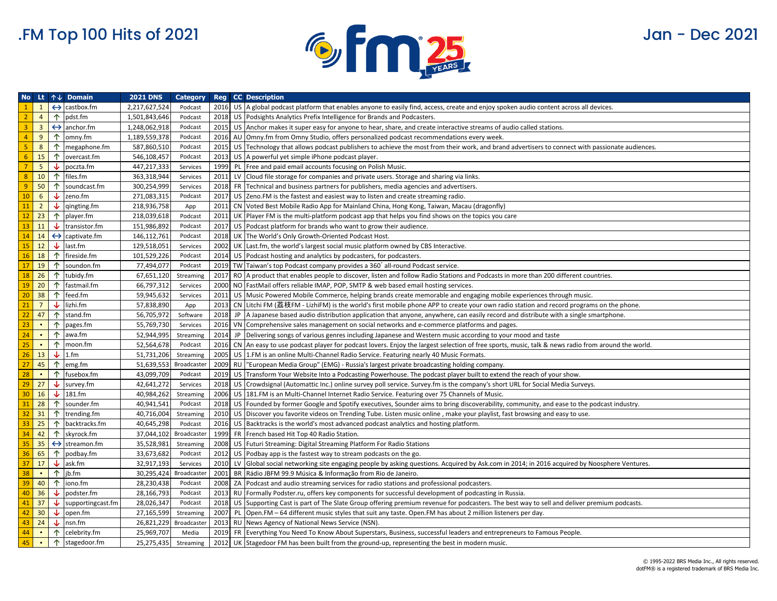

|                 |                         |              | No Lt $\uparrow \downarrow$ Domain | <b>2021 DNS</b> | <b>Category</b> |      | <b>Reg</b> CC Description                                                                                                                             |
|-----------------|-------------------------|--------------|------------------------------------|-----------------|-----------------|------|-------------------------------------------------------------------------------------------------------------------------------------------------------|
| $\mathbf{1}$    | $\mathbf{1}$            |              | $\leftrightarrow$ castbox.fm       | 2,217,627,524   | Podcast         |      | 2016 US A global podcast platform that enables anyone to easily find, access, create and enjoy spoken audio content across all devices.               |
| 2 <sup>7</sup>  | $\overline{4}$          |              | $\uparrow$ pdst.fm                 | 1,501,843,646   | Podcast         | 2018 | US Podsights Analytics Prefix Intelligence for Brands and Podcasters.                                                                                 |
| 3 <sup>7</sup>  | $\overline{\mathbf{3}}$ |              | $\leftrightarrow$ anchor.fm        | 1,248,062,918   | Podcast         |      | 2015 US Anchor makes it super easy for anyone to hear, share, and create interactive streams of audio called stations.                                |
| $\overline{4}$  | 9                       |              | $\uparrow$ omny.fm                 | 1,189,559,378   | Podcast         |      | 2016 AU Omny.fm from Omny Studio, offers personalized podcast recommendations every week.                                                             |
| 5 <sup>°</sup>  | 8                       |              | $\uparrow$ megaphone.fm            | 587,860,510     | Podcast         | 2015 | US Technology that allows podcast publishers to achieve the most from their work, and brand advertisers to connect with passionate audiences.         |
| 6 <sup>1</sup>  | 15                      | $\uparrow$   | overcast.fm                        | 546,108,457     | Podcast         |      | 2013 US A powerful yet simple iPhone podcast player.                                                                                                  |
| $\overline{7}$  | 5 <sup>5</sup>          | $\downarrow$ | poczta.fm                          | 447,217,333     | Services        | 1999 | PL Free and paid email accounts focusing on Polish Music.                                                                                             |
| 8               | 10                      | $\uparrow$   | files.fm                           | 363,318,944     | Services        |      | 2011 LV Cloud file storage for companies and private users. Storage and sharing via links.                                                            |
| 9               | 50                      | $\uparrow$   | soundcast.fm                       | 300,254,999     | Services        |      | 2018 FR Technical and business partners for publishers, media agencies and advertisers.                                                               |
| 10              | $6\overline{6}$         | ↓            | zeno.fm                            | 271,083,315     | Podcast         |      | 2017 US Zeno. FM is the fastest and easiest way to listen and create streaming radio.                                                                 |
| 11              | $\overline{2}$          | ₩            | qingting.fm                        | 218,936,758     | App             |      | 2011 CN Voted Best Mobile Radio App for Mainland China, Hong Kong, Taiwan, Macau (dragonfly)                                                          |
| 12              | 23                      |              | $\uparrow$ player.fm               | 218,039,618     | Podcast         |      | 2011 UK Player FM is the multi-platform podcast app that helps you find shows on the topics you care                                                  |
| 13              | 11                      | ↓            | transistor.fm                      | 151,986,892     | Podcast         |      | 2017 US Podcast platform for brands who want to grow their audience.                                                                                  |
| 14              | 14                      |              | $\leftrightarrow$ captivate.fm     | 146,112,761     | Podcast         |      | 2018 UK The World's Only Growth-Oriented Podcast Host.                                                                                                |
| 15              | 12                      |              | $\downarrow$ last.fm               | 129,518,051     | Services        |      | 2002 UK Last.fm, the world's largest social music platform owned by CBS Interactive.                                                                  |
| 16              | 18                      |              | 个 fireside.fm                      | 101,529,226     | Podcast         |      | 2014 US Podcast hosting and analytics by podcasters, for podcasters.                                                                                  |
| 17              | 19                      | $\uparrow$   | soundon.fm                         | 77,494,077      | Podcast         |      | 2019 TW Taiwan's top Podcast company provides a 360° all-round Podcast service.                                                                       |
| 18              | 26                      | $\uparrow$   | tubidy.fm                          | 67,651,120      | Streaming       |      | 2017 RO A product that enables people to discover, listen and follow Radio Stations and Podcasts in more than 200 different countries.                |
| 19              | 20                      | $\uparrow$   | fastmail.fm                        | 66,797,312      | Services        |      | 2000 NO FastMail offers reliable IMAP, POP, SMTP & web based email hosting services.                                                                  |
| 20              | 38                      | $\uparrow$   | feed.fm                            | 59,945,632      | Services        |      | 2011 US Music Powered Mobile Commerce, helping brands create memorable and engaging mobile experiences through music.                                 |
| 21              | $7^{\circ}$             |              | $\downarrow$ lizhi.fm              | 57,838,890      | App             | 2013 | CN Litchi FM (荔枝FM - LizhiFM) is the world's first mobile phone APP to create your own radio station and record programs on the phone.                |
| 22              | 47                      | $\uparrow$   | stand.fm                           | 56,705,972      | Software        |      | 2018 JP   A Japanese based audio distribution application that anyone, anywhere, can easily record and distribute with a single smartphone.           |
| 23              | $\sim$                  | 个            | pages.fm                           | 55,769,730      | Services        | 2016 | VN Comprehensive sales management on social networks and e-commerce platforms and pages.                                                              |
| 24              | $\sim$                  | 个            | awa.fm                             | 52,944,995      | Streaming       |      | 2014 JP   Delivering songs of various genres including Japanese and Western music according to your mood and taste                                    |
| 25              | $\sim$                  |              | $\uparrow$ moon.fm                 | 52,564,678      | Podcast         |      | 2016 CN An easy to use podcast player for podcast lovers. Enjoy the largest selection of free sports, music, talk & news radio from around the world. |
| 26              | 13                      |              | $\downarrow$ 1.fm                  | 51,731,206      | Streaming       |      | 2005 US 1.FM is an online Multi-Channel Radio Service. Featuring nearly 40 Music Formats.                                                             |
| 27              | 45                      | 个            | emg.fm                             | 51,639,553      | Broadcaster     |      | 2009 RU   "European Media Group" (EMG) - Russia's largest private broadcasting holding company.                                                       |
| 28              | $\sim$                  | 个            | fusebox.fm                         | 43,099,709      | Podcast         |      | 2019 US Transform Your Website Into a Podcasting Powerhouse. The podcast player built to extend the reach of your show.                               |
| 29              | 27                      |              | $\downarrow$ survey.fm             | 42,641,272      | Services        |      | 2018 US Crowdsignal (Automattic Inc.) online survey poll service. Survey.fm is the company's short URL for Social Media Surveys.                      |
| 30 <sup>°</sup> | 16                      | ↓            | 181.fm                             | 40,984,262      | Streaming       | 2006 | US   181.FM is an Multi-Channel Internet Radio Service. Featuring over 75 Channels of Music.                                                          |
| 31              | 28                      | 个            | sounder.fm                         | 40,941,541      | Podcast         | 2018 | US Founded by former Google and Spotify executives, Sounder aims to bring discoverability, community, and ease to the podcast industry.               |
| 32              | 31                      | $\uparrow$   | trending.fm                        | 40,716,004      | Streaming       |      | 2010 US Discover you favorite videos on Trending Tube. Listen music online, make your playlist, fast browsing and easy to use.                        |
| 33              | 25                      |              | ↑ backtracks.fm                    | 40,645,298      | Podcast         |      | 2016 US Backtracks is the world's most advanced podcast analytics and hosting platform.                                                               |
| 34              | 42                      |              | 个 skyrock.fm                       | 37,044,102      | Broadcaster     |      | 1999 FR French based Hit Top 40 Radio Station.                                                                                                        |
| 35              | 35                      |              | $\leftrightarrow$ streamon.fm      | 35,528,981      | Streaming       |      | 2008 US Futuri Streaming: Digital Streaming Platform For Radio Stations                                                                               |
| 36              | 65                      | $\uparrow$   | podbay.fm                          | 33,673,682      | Podcast         |      | 2012 US Podbay app is the fastest way to stream podcasts on the go.                                                                                   |
| 37              | 17                      |              | $\downarrow$ ask.fm                | 32,917,193      | Services        |      | 2010 LV Global social networking site engaging people by asking questions. Acquired by Ask.com in 2014; in 2016 acquired by Noosphere Ventures.       |
| 38              | $\sim$                  | $\uparrow$   | jb.fm                              | 30,295,424      | Broadcaster     | 2001 | BR Rádio JBFM 99.9 Música & Informação from Rio de Janeiro.                                                                                           |
| 39              | 40                      | $\uparrow$   | iono.fm                            | 28,230,438      | Podcast         |      | 2008 ZA Podcast and audio streaming services for radio stations and professional podcasters.                                                          |
| 40              | 36                      | ∿            | podster.fm                         | 28,166,793      | Podcast         |      | 2013 RU Formally Podster.ru, offers key components for successful development of podcasting in Russia.                                                |
| 41              | 37                      | ₩            | supportingcast.fm                  | 28,026,347      | Podcast         |      | 2018 US Supporting Cast is part of The Slate Group offering premium revenue for podcasters. The best way to sell and deliver premium podcasts.        |
| 42              | 30 <sup>°</sup>         |              | $\downarrow$ open.fm               | 27,165,599      | Streaming       | 2007 | PL   Open.FM – 64 different music styles that suit any taste. Open.FM has about 2 million listeners per day.                                          |
| 43              | 24                      | J            | nsn.fm                             | 26,821,229      | Broadcaster     |      | 2013 RU News Agency of National News Service (NSN).                                                                                                   |
| 44              | $\sim$                  | 个            | celebrity.fm                       | 25,969,707      | Media           | 2019 | FR Everything You Need To Know About Superstars, Business, successful leaders and entrepreneurs to Famous People.                                     |
| 45              | $\sim$                  |              | $\uparrow$ stagedoor.fm            | 25,275,435      | Streaming       |      | 2012 UK Stagedoor FM has been built from the ground-up, representing the best in modern music.                                                        |
|                 |                         |              |                                    |                 |                 |      |                                                                                                                                                       |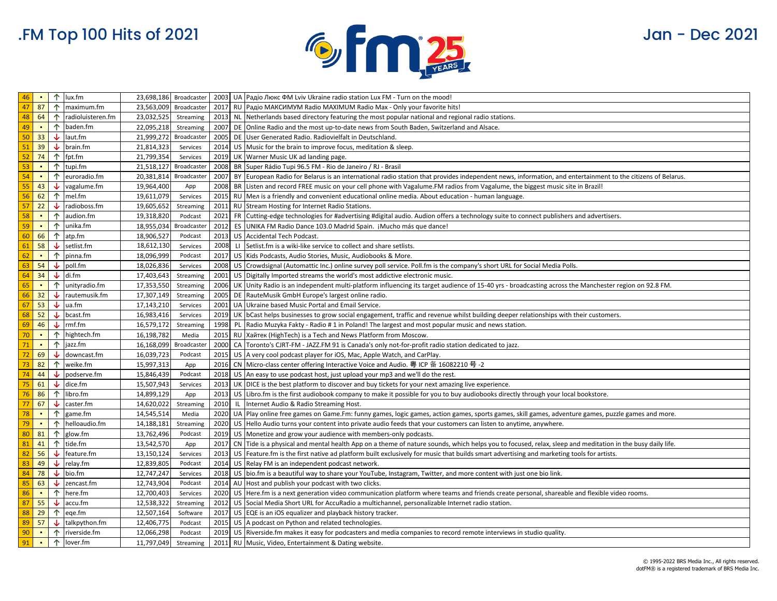

| 46       | - 10           | 个          | lux.fm              |                          | 23,698,186 Broadcaster |  | 2003   UA   Радіо Люкс ФМ Lviv Ukraine radio station Lux FM - Turn on the mood!                                                                                                 |
|----------|----------------|------------|---------------------|--------------------------|------------------------|--|---------------------------------------------------------------------------------------------------------------------------------------------------------------------------------|
| 47       | 87             | 个          | maximum.fm          |                          | 23,563,009 Broadcaster |  | 2017 RU Pagio MAKCUMYM Radio MAXIMUM Radio Max - Only your favorite hits!                                                                                                       |
| 48       | 64             | 个          | radioluisteren.fm   |                          | 23,032,525 Streaming   |  | 2013 NL Netherlands based directory featuring the most popular national and regional radio stations.                                                                            |
| 49       | $\blacksquare$ | 个          | baden.fm            | 22,095,218               | Streaming              |  | 2007 DE Online Radio and the most up-to-date news from South Baden, Switzerland and Alsace.                                                                                     |
| 50       | 33             | ↓          | laut.fm             |                          | 21,999,272 Broadcaster |  | 2005 DE User Generated Radio. Radiovielfalt in Deutschland.                                                                                                                     |
| 51       | 39             | ↓          | brain.fm            | 21,814,323               | Services               |  | 2014 US Music for the brain to improve focus, meditation & sleep.                                                                                                               |
| 52       | 74             | 个          | fpt.fm              | 21,799,354               | Services               |  | 2019 UK Warner Music UK ad landing page.                                                                                                                                        |
| 53       | $\blacksquare$ | 个          | tupi.fm             |                          | 21,518,127 Broadcaster |  | 2008 BR Super Rádio Tupi 96.5 FM - Rio de Janeiro / RJ - Brasil                                                                                                                 |
| 54       | $\blacksquare$ | 个          | euroradio.fm        |                          | 20,381,814 Broadcaster |  | 2007 BY European Radio for Belarus is an international radio station that provides independent news, information, and entertainment to the citizens of Belarus.                 |
| 55       | 43             | ↓          | vagalume.fm         | 19,964,400               | App                    |  | 2008 BR Listen and record FREE music on your cell phone with Vagalume.FM radios from Vagalume, the biggest music site in Brazil!                                                |
| 56       | 62             | 个          | mel.fm              | 19,611,079               | Services               |  | 2015 RU Men is a friendly and convenient educational online media. About education - human language.                                                                            |
| 57       | 22             | ↓          | radioboss.fm        | 19,605,652               | Streaming              |  | 2011 RU Stream Hosting for Internet Radio Stations.                                                                                                                             |
| 58       | $\blacksquare$ | 个          | audion.fm           | 19,318,820               | Podcast                |  | 2021 FR Cutting-edge technologies for #advertising #digital audio. Audion offers a technology suite to connect publishers and advertisers.                                      |
| 59       | $\blacksquare$ |            | $\uparrow$ unika.fm | 18,955,034               | Broadcaster            |  | 2012 ES UNIKA FM Radio Dance 103.0 Madrid Spain. ¡Mucho más que dance!                                                                                                          |
| 60       | 66             | 个          | atp.fm              | 18,906,527               | Podcast                |  | 2013 US Accidental Tech Podcast.                                                                                                                                                |
| 61       | 58             | ↓          | setlist.fm          | 18,612,130               | Services               |  | 2008 LI Setlist.fm is a wiki-like service to collect and share setlists.                                                                                                        |
| 62       | $\blacksquare$ | 个          | pinna.fm            | 18,096,999               | Podcast                |  | 2017 US Kids Podcasts, Audio Stories, Music, Audiobooks & More.                                                                                                                 |
| 63       | 54             | J          | poll.fm             | 18,026,836               | Services               |  | 2008   US   Crowdsignal (Automattic Inc.) online survey poll service. Poll.fm is the company's short URL for Social Media Polls.                                                |
| 64       | 34             |            | $\downarrow$ di.fm  | 17,403,643               | Streaming              |  | 2001 US Digitally Imported streams the world's most addictive electronic music.                                                                                                 |
| 65       | $\blacksquare$ | 个          | unityradio.fm       | 17,353,550               | Streaming              |  | 2006 UK Unity Radio is an independent multi-platform influencing its target audience of 15-40 yrs - broadcasting across the Manchester region on 92.8 FM.                       |
| 66       | 32             | ↓          | rautemusik.fm       | 17,307,149               | Streaming              |  | 2005 DE RauteMusik GmbH Europe's largest online radio.                                                                                                                          |
| 67       | 53             | ₩          | ua.fm               | 17,143,210               | Services               |  | 2001 UA Ukraine based Music Portal and Email Service.                                                                                                                           |
| 68       | 52             | J          | bcast.fm            | 16,983,416               | Services               |  | 2019 UK  bCast helps businesses to grow social engagement, traffic and revenue whilst building deeper relationships with their customers.                                       |
| 69       | 46             |            | $\downarrow$ rmf.fm | 16,579,172               | Streaming              |  | 1998 PL Radio Muzyka Fakty - Radio #1 in Poland! The largest and most popular music and news station.                                                                           |
| 70       | $\blacksquare$ | ↑          | hightech.fm         | 16,198,782               | Media                  |  | 2015 RU   Хайтек (HighTech) is a Tech and News Platform from Moscow.                                                                                                            |
| 71       | $\blacksquare$ | $\uparrow$ | jazz.fm             | 16,168,099 Broadcaste    |                        |  | 2000 CA Toronto's CJRT-FM - JAZZ.FM 91 is Canada's only not-for-profit radio station dedicated to jazz.                                                                         |
| 72       | 69             | ₩          | downcast.fm         | 16,039,723               | Podcast                |  | 2015 US A very cool podcast player for iOS, Mac, Apple Watch, and CarPlay.                                                                                                      |
| 73       | 82             | 个          | weike.fm            | 15,997,313               | App                    |  | 2016 CN Micro-class center offering Interactive Voice and Audio. 粤 ICP 备 16082210 号 -2                                                                                          |
| 74       | 44             | ↓          | podserve.fm         | 15,846,439               | Podcast                |  | 2018 US An easy to use podcast host, just upload your mp3 and we'll do the rest.                                                                                                |
| 75       | 61             | ෑ          | dice.fm             | 15,507,943               | Services               |  | 2013 UK DICE is the best platform to discover and buy tickets for your next amazing live experience.                                                                            |
| 76       | 86             | 个          | libro.fm            | 14,899,129               | App                    |  | 2013 US Libro.fm is the first audiobook company to make it possible for you to buy audiobooks directly through your local bookstore.                                            |
| 77       | 67             | J          | caster.fm           | 14,620,022               | Streaming              |  | 2010 IL Internet Audio & Radio Streaming Host.                                                                                                                                  |
| 78       | $\blacksquare$ | 个          | game.fm             | 14,545,514               | Media                  |  | 2020   UA  Play online free games on Game.Fm: funny games, logic games, action games, sports games, skill games, adventure games, puzzle games and more.                        |
| 79       | $\blacksquare$ | ↑          | helloaudio.fm       | 14,188,181               | Streaming              |  | 2020 US Hello Audio turns your content into private audio feeds that your customers can listen to anytime, anywhere.                                                            |
| 80       | 81             | 个          | glow.fm             | 13,762,496               | Podcast                |  | 2019 US Monetize and grow your audience with members-only podcasts.                                                                                                             |
| 81<br>82 | 41<br>56       | 个          | tide.fm             | 13,542,570               | App                    |  | 2017 CN Tide is a physical and mental health App on a theme of nature sounds, which helps you to focused, relax, sleep and meditation in the busy daily life.                   |
|          | 49             | ↓          | feature.fm          | 13,150,124               | Services<br>Podcast    |  | 2013 US   Feature.fm is the first native ad platform built exclusively for music that builds smart advertising and marketing tools for artists.                                 |
| 83<br>84 | 78             | J<br>J     | relay.fm<br>bio.fm  | 12,839,805<br>12,747,247 |                        |  | 2014 US Relay FM is an independent podcast network.                                                                                                                             |
| 85       | 63             |            | zencast.fm          |                          | Services<br>Podcast    |  | 2018 US bio.fm is a beautiful way to share your YouTube, Instagram, Twitter, and more content with just one bio link.<br>2014 AU Host and publish your podcast with two clicks. |
| 86       | $\blacksquare$ | ∿<br>个     | here.fm             | 12,743,904<br>12,700,403 | Services               |  | 2020 US Here fm is a next generation video communication platform where teams and friends create personal, shareable and flexible video rooms.                                  |
| 87       | 55             | ↓          | accu.fm             | 12,538,322               | Streaming              |  | 2012 US Social Media Short URL for AccuRadio a multichannel, personalizable Internet radio station.                                                                             |
| 88       | 29             | 个          | eqe.fm              | 12,507,164               | Software               |  | 2017 US EQE is an iOS equalizer and playback history tracker.                                                                                                                   |
| 89       | 57             | ↓          | talkpython.fm       | 12,406,775               | Podcast                |  | 2015 US A podcast on Python and related technologies.                                                                                                                           |
| 90       | $\blacksquare$ | 个          | riverside.fm        | 12,066,298               | Podcast                |  | 2019 US Riverside. fm makes it easy for podcasters and media companies to record remote interviews in studio quality.                                                           |
| 91       | $\blacksquare$ | $\uparrow$ | lover.fm            | 11,797,049               | Streaming              |  | 2011 RU Music, Video, Entertainment & Dating website.                                                                                                                           |
|          |                |            |                     |                          |                        |  |                                                                                                                                                                                 |